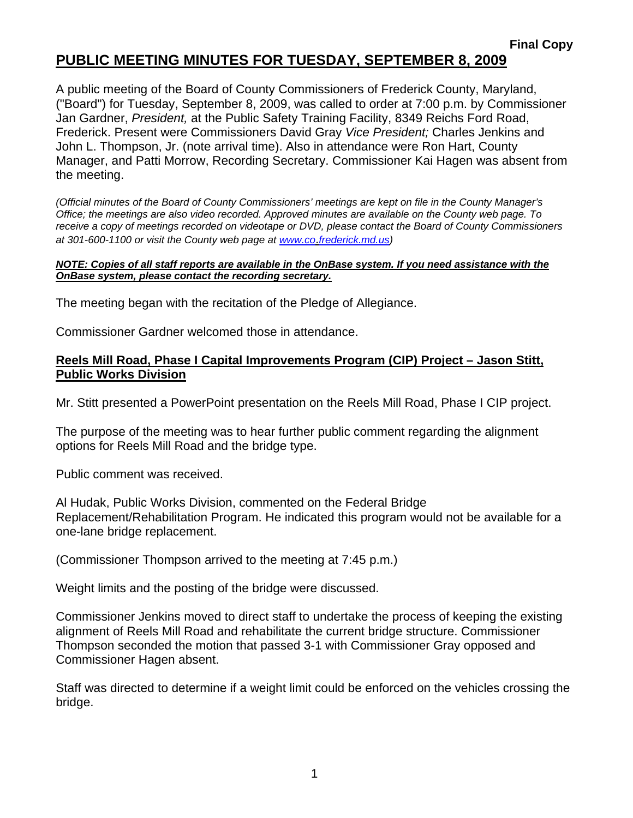## **PUBLIC MEETING MINUTES FOR TUESDAY, SEPTEMBER 8, 2009**

A public meeting of the Board of County Commissioners of Frederick County, Maryland, ("Board") for Tuesday, September 8, 2009, was called to order at 7:00 p.m. by Commissioner Jan Gardner, *President,* at the Public Safety Training Facility, 8349 Reichs Ford Road, Frederick. Present were Commissioners David Gray *Vice President;* Charles Jenkins and John L. Thompson, Jr. (note arrival time). Also in attendance were Ron Hart, County Manager, and Patti Morrow, Recording Secretary. Commissioner Kai Hagen was absent from the meeting.

*(Official minutes of the Board of County Commissioners' meetings are kept on file in the County Manager's Office; the meetings are also video recorded. Approved minutes are available on the County web page. To receive a copy of meetings recorded on videotape or DVD, please contact the Board of County Commissioners at 301-600-1100 or visit the County web page at [www.co](http://www.co/)*.*frederick.md.us)* 

#### *NOTE: Copies of all staff reports are available in the OnBase system. If you need assistance with the OnBase system, please contact the recording secretary.*

The meeting began with the recitation of the Pledge of Allegiance.

Commissioner Gardner welcomed those in attendance.

### **Reels Mill Road, Phase I Capital Improvements Program (CIP) Project – Jason Stitt, Public Works Division**

Mr. Stitt presented a PowerPoint presentation on the Reels Mill Road, Phase I CIP project.

The purpose of the meeting was to hear further public comment regarding the alignment options for Reels Mill Road and the bridge type.

Public comment was received.

Al Hudak, Public Works Division, commented on the Federal Bridge Replacement/Rehabilitation Program. He indicated this program would not be available for a one-lane bridge replacement.

(Commissioner Thompson arrived to the meeting at 7:45 p.m.)

Weight limits and the posting of the bridge were discussed.

Commissioner Jenkins moved to direct staff to undertake the process of keeping the existing alignment of Reels Mill Road and rehabilitate the current bridge structure. Commissioner Thompson seconded the motion that passed 3-1 with Commissioner Gray opposed and Commissioner Hagen absent.

Staff was directed to determine if a weight limit could be enforced on the vehicles crossing the bridge.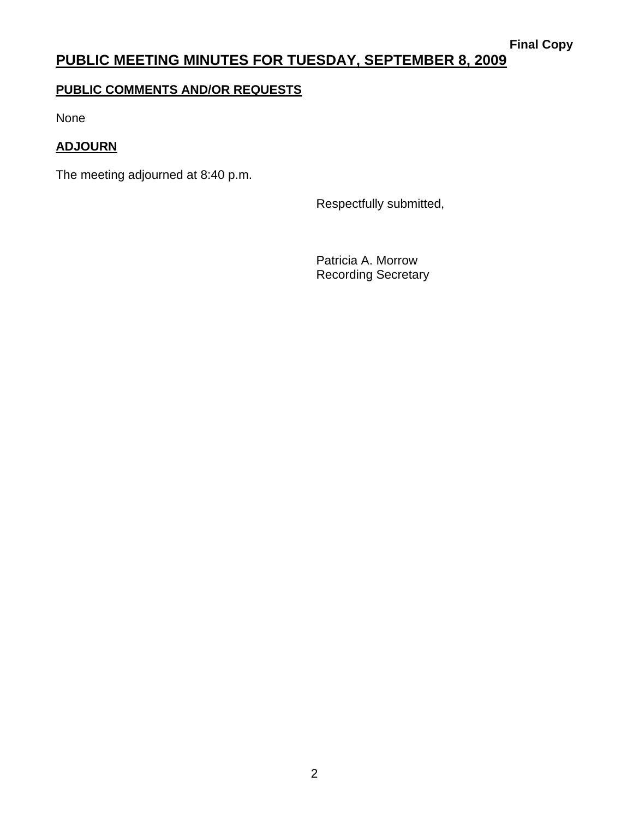# **PUBLIC MEETING MINUTES FOR TUESDAY, SEPTEMBER 8, 2009**

## **PUBLIC COMMENTS AND/OR REQUESTS**

None

### **ADJOURN**

The meeting adjourned at 8:40 p.m.

Respectfully submitted,

 Patricia A. Morrow Recording Secretary